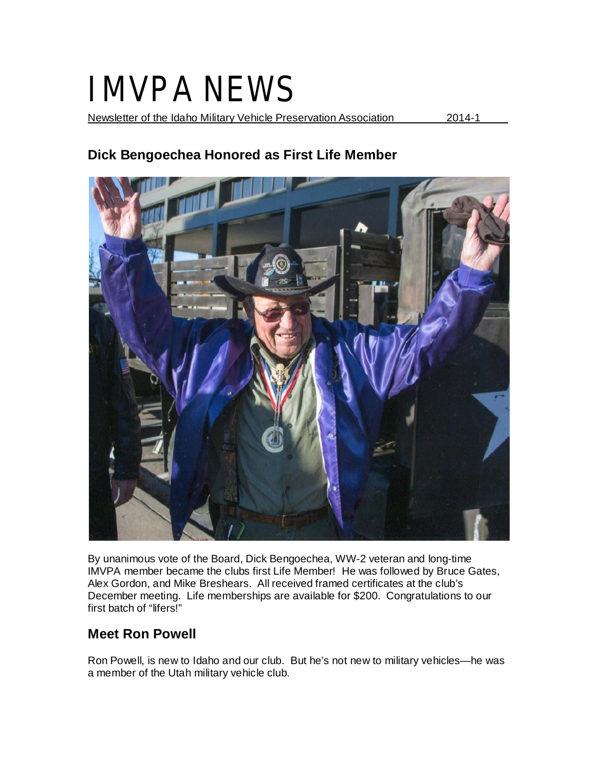# IMVPA NEWS

Newsletter of the Idaho Military Vehicle Preservation Association 2014-1

# **Dick Bengoechea Honored as First Life Member**



By unanimous vote of the Board, Dick Bengoechea, WW-2 veteran and long-time IMVPA member became the clubs first Life Member! He was followed by Bruce Gates, Alex Gordon, and Mike Breshears. All received framed certificates at the club's December meeting. Life memberships are available for \$200. Congratulations to our first batch of "lifers!"

# **Meet Ron Powell**

Ron Powell, is new to Idaho and our club. But he's not new to military vehicles—he was a member of the Utah military vehicle club.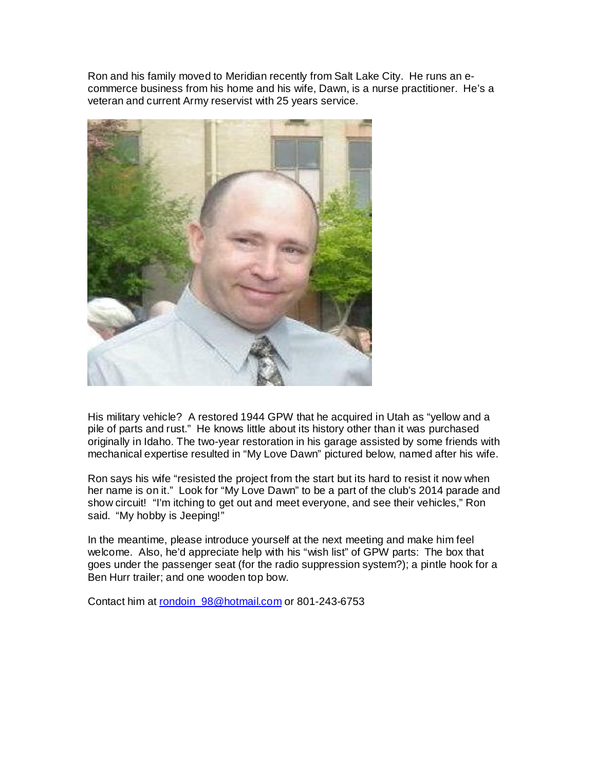Ron and his family moved to Meridian recently from Salt Lake City. He runs an ecommerce business from his home and his wife, Dawn, is a nurse practitioner. He's a veteran and current Army reservist with 25 years service.



His military vehicle? A restored 1944 GPW that he acquired in Utah as "yellow and a pile of parts and rust." He knows little about its history other than it was purchased originally in Idaho. The two-year restoration in his garage assisted by some friends with mechanical expertise resulted in "My Love Dawn" pictured below, named after his wife.

Ron says his wife "resisted the project from the start but its hard to resist it now when her name is on it." Look for "My Love Dawn" to be a part of the club's 2014 parade and show circuit! "I'm itching to get out and meet everyone, and see their vehicles," Ron said. "My hobby is Jeeping!"

In the meantime, please introduce yourself at the next meeting and make him feel welcome. Also, he'd appreciate help with his "wish list" of GPW parts: The box that goes under the passenger seat (for the radio suppression system?); a pintle hook for a Ben Hurr trailer; and one wooden top bow.

Contact him at rondoin\_98@hotmail.com or 801-243-6753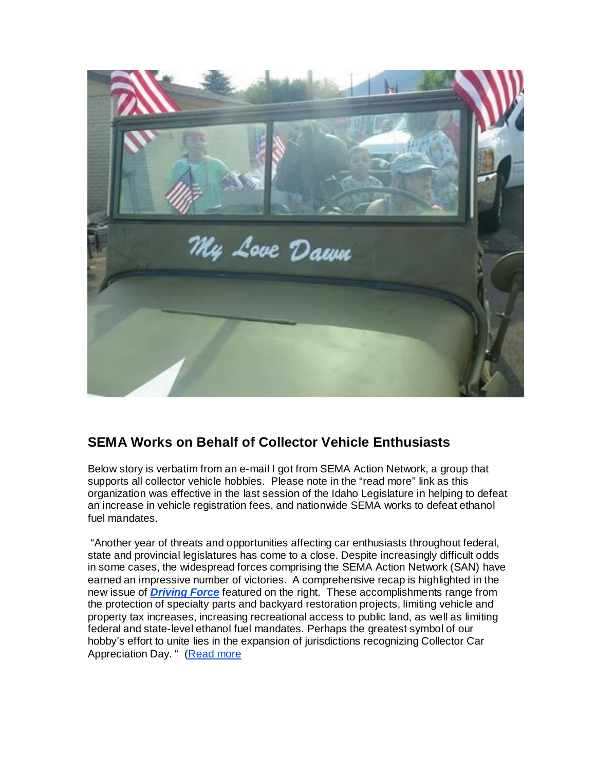

# **SEMA Works on Behalf of Collector Vehicle Enthusiasts**

Below story is verbatim from an e-mail I got from SEMA Action Network, a group that supports all collector vehicle hobbies. Please note in the "read more" link as this organization was effective in the last session of the Idaho Legislature in helping to defeat an increase in vehicle registration fees, and nationwide SEMA works to defeat ethanol fuel mandates.

"Another year of threats and opportunities affecting car enthusiasts throughout federal, state and provincial legislatures has come to a close. Despite increasingly difficult odds in some cases, the widespread forces comprising the SEMA Action Network (SAN) have earned an impressive number of victories. A comprehensive recap is highlighted in the new issue of *Driving Force* featured on the right. These accomplishments range from the protection of specialty parts and backyard restoration projects, limiting vehicle and property tax increases, increasing recreational access to public land, as well as limiting federal and state-level ethanol fuel mandates. Perhaps the greatest symbol of our hobby's effort to unite lies in the expansion of jurisdictions recognizing Collector Car Appreciation Day. " (Read more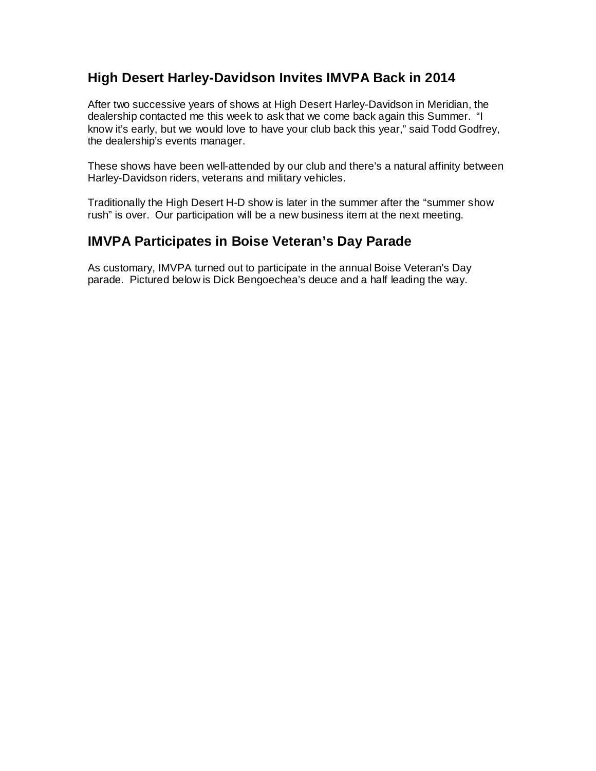#### **High Desert Harley-Davidson Invites IMVPA Back in 2014**

After two successive years of shows at High Desert Harley-Davidson in Meridian, the dealership contacted me this week to ask that we come back again this Summer. "I know it's early, but we would love to have your club back this year," said Todd Godfrey, the dealership's events manager.

These shows have been well-attended by our club and there's a natural affinity between Harley-Davidson riders, veterans and military vehicles.

Traditionally the High Desert H-D show is later in the summer after the "summer show rush" is over. Our participation will be a new business item at the next meeting.

#### **IMVPA Participates in Boise Veteran's Day Parade**

As customary, IMVPA turned out to participate in the annual Boise Veteran's Day parade. Pictured below is Dick Bengoechea's deuce and a half leading the way.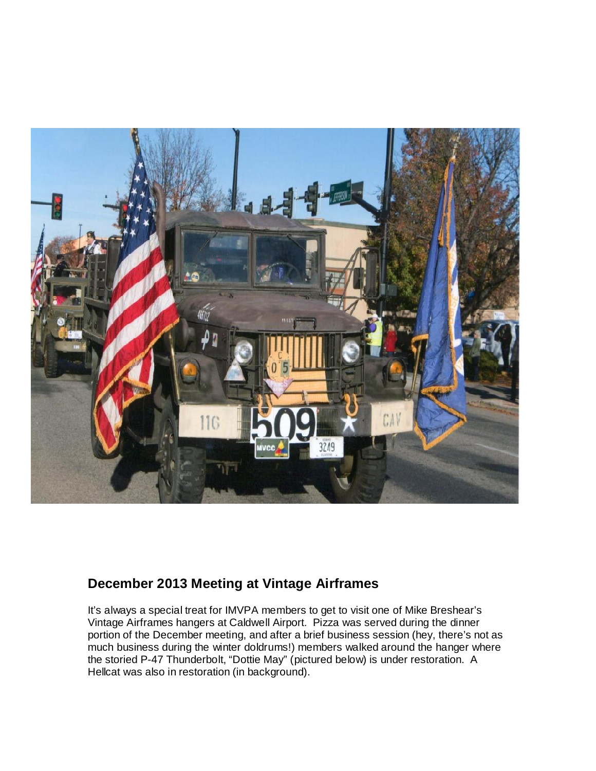

#### **December 2013 Meeting at Vintage Airframes**

It's always a special treat for IMVPA members to get to visit one of Mike Breshear's Vintage Airframes hangers at Caldwell Airport. Pizza was served during the dinner portion of the December meeting, and after a brief business session (hey, there's not as much business during the winter doldrums!) members walked around the hanger where the storied P-47 Thunderbolt, "Dottie May" (pictured below) is under restoration. A Hellcat was also in restoration (in background).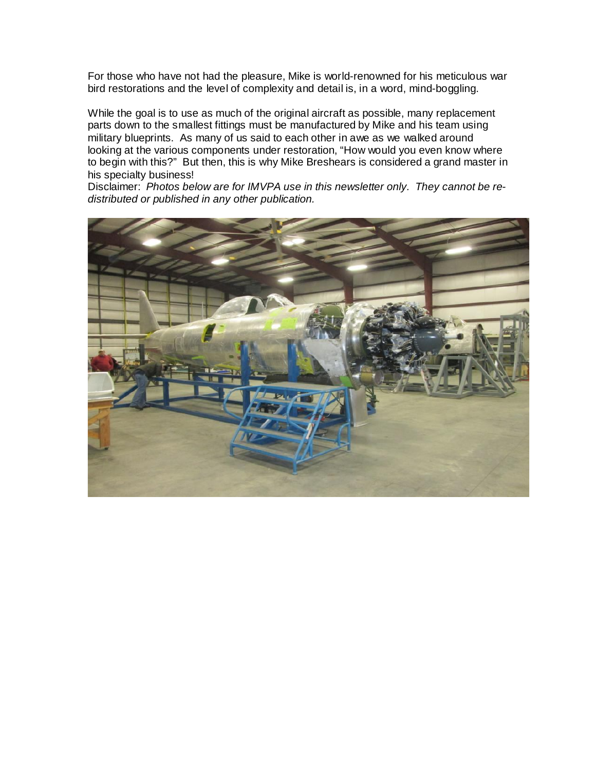For those who have not had the pleasure, Mike is world-renowned for his meticulous war bird restorations and the level of complexity and detail is, in a word, mind-boggling.

While the goal is to use as much of the original aircraft as possible, many replacement parts down to the smallest fittings must be manufactured by Mike and his team using military blueprints. As many of us said to each other in awe as we walked around looking at the various components under restoration, "How would you even know where to begin with this?" But then, this is why Mike Breshears is considered a grand master in his specialty business!

Disclaimer: *Photos below are for IMVPA use in this newsletter only. They cannot be redistributed or published in any other publication.*

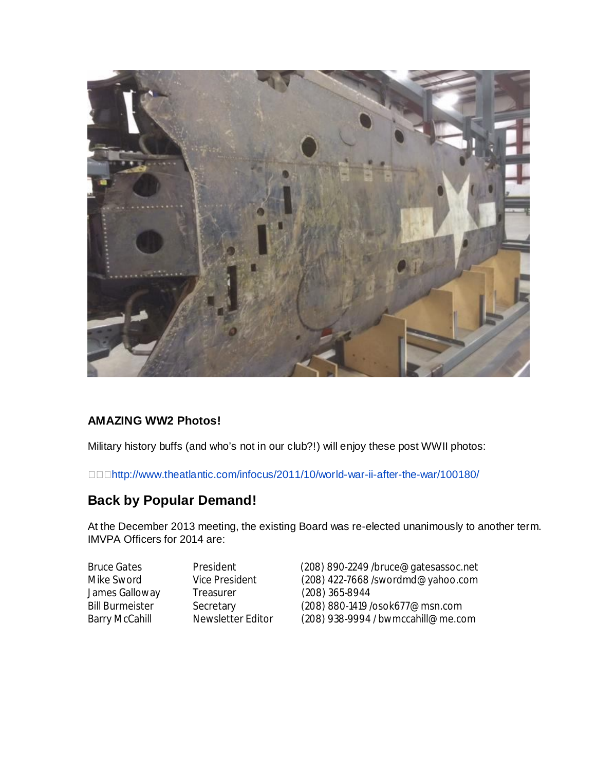

#### **AMAZING WW2 Photos!**

Military history buffs (and who's not in our club?!) will enjoy these post WWII photos:

http://www.theatlantic.com/infocus/2011/10/world-war-ii-after-the-war/100180/

# **Back by Popular Demand!**

At the December 2013 meeting, the existing Board was re-elected unanimously to another term. IMVPA Officers for 2014 are:

James Galloway Treasurer (208) 365-8944<br>
Bill Burmeister Secretary (208) 880-1419/

Bruce Gates President (208) 890-2249 /bruce@gatesassoc.net<br>
Mike Sword Vice President (208) 422-7668 /swordmd@vahoo.com (208) 422-7668 /swordmd@yahoo.com Secretary (208) 880-1419 /osok677@msn.com<br>Newsletter Editor (208) 938-9994 / bwmccahill@me.co Barry McCahill Mewsletter Editor (208) 938-9994 / bwmccahill@me.com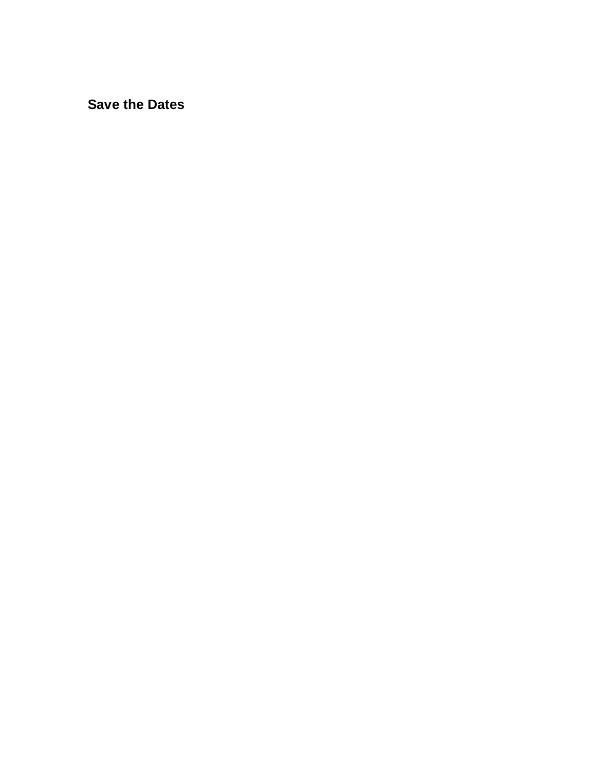**Save the Dates**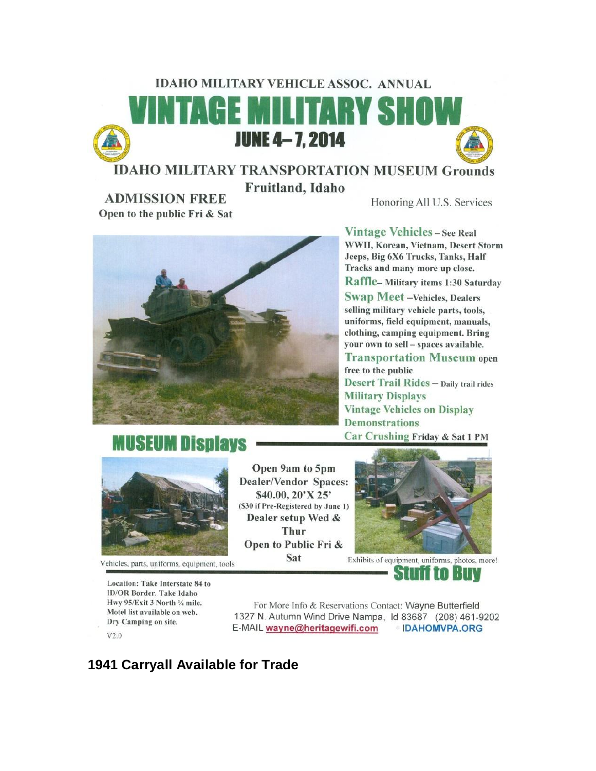# **IDAHO MILITARY VEHICLE ASSOC. ANNUAL AGE MILITARY SHOV JUNE 4-7, 2014 IDAHO MILITARY TRANSPORTATION MUSEUM Grounds**

Fruitland, Idaho

Honoring All U.S. Services



# **MUSEUM Displays**



**ADMISSION FREE** 

Open to the public Fri & Sat

Vehicles, parts, uniforms, equipment, tools

Location: Take Interstate 84 to **ID/OR Border. Take Idaho** Hwy 95/Exit 3 North 1/4 mile. Motel list available on web. Dry Camping on site.  $V2.0$ 

Open 9am to 5pm Dealer/Vendor Spaces: \$40.00, 20'X 25' (\$30 if Pre-Registered by June 1) Dealer setup Wed & Thur Open to Public Fri & Sat



Exhibits of equipment, uniforms, photos, more! ETIV Ш

For More Info & Reservations Contact: Wayne Butterfield 1327 N. Autumn Wind Drive Nampa, 1d 83687 (208) 461-9202 E-MAIL wayne@heritagewifi.com IDAHOMVPA.ORG

# **1941 Carryall Available for Trade**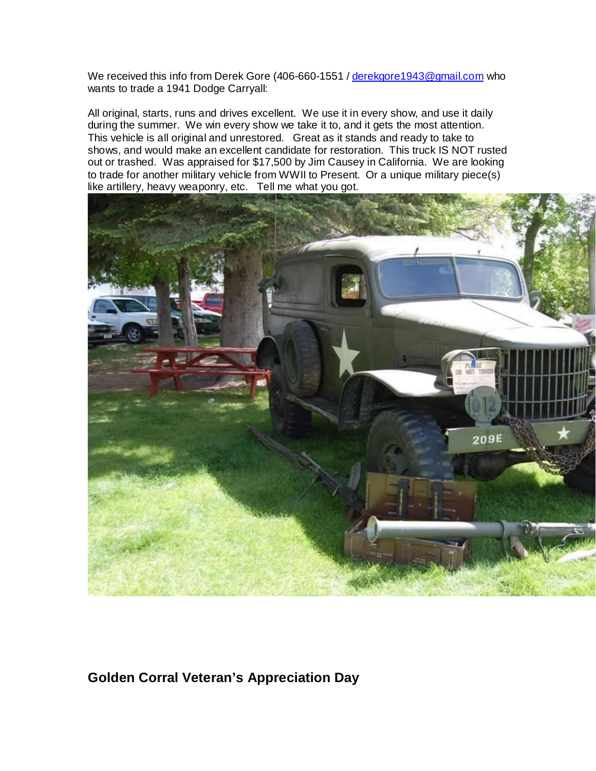We received this info from Derek Gore (406-660-1551 / derekgore1943@gmail.com who wants to trade a 1941 Dodge Carryall:

All original, starts, runs and drives excellent. We use it in every show, and use it daily during the summer. We win every show we take it to, and it gets the most attention. This vehicle is all original and unrestored. Great as it stands and ready to take to shows, and would make an excellent candidate for restoration. This truck IS NOT rusted out or trashed. Was appraised for \$17,500 by Jim Causey in California. We are looking to trade for another military vehicle from WWII to Present. Or a unique military piece(s) like artillery, heavy weaponry, etc. Tell me what you got.



# **Golden Corral Veteran's Appreciation Day**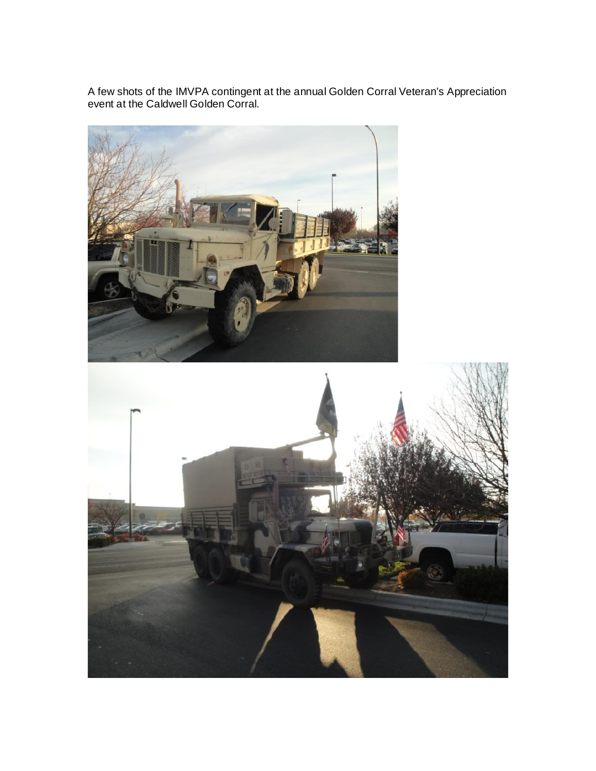A few shots of the IMVPA contingent at the annual Golden Corral Veteran's Appreciation event at the Caldwell Golden Corral.